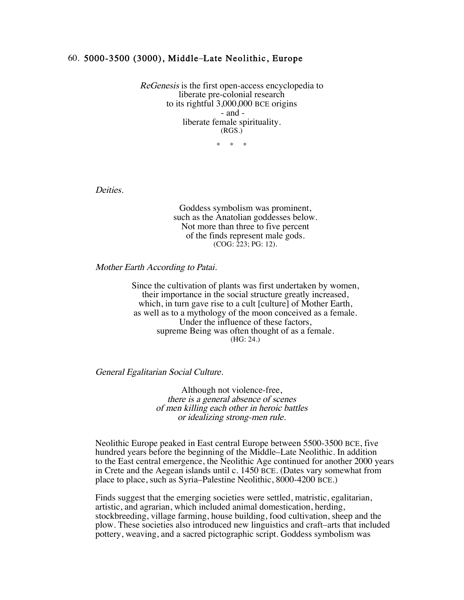## 60. 5000-3500 (3000), Middle–Late Neolithic, Europe

ReGenesis is the first open-access encyclopedia to liberate pre-colonial research to its rightful 3,000,000 BCE origins - and liberate female spirituality. (RGS.)

 $*$  \*

Deities.

Goddess symbolism was prominent, such as the Anatolian goddesses below. Not more than three to five percent of the finds represent male gods. (COG: 223; PG: 12).

Mother Earth According to Patai.

Since the cultivation of plants was first undertaken by women, their importance in the social structure greatly increased, which, in turn gave rise to a cult [culture] of Mother Earth, as well as to a mythology of the moon conceived as a female. Under the influence of these factors, supreme Being was often thought of as a female. (HG: 24.)

General Egalitarian Social Culture.

Although not violence-free, there is a general absence of scenes of men killing each other in heroic battles or idealizing strong-men rule.

Neolithic Europe peaked in East central Europe between 5500-3500 BCE, five hundred years before the beginning of the Middle–Late Neolithic. In addition to the East central emergence, the Neolithic Age continued for another 2000 years in Crete and the Aegean islands until c. 1450 BCE. (Dates vary somewhat from place to place, such as Syria–Palestine Neolithic, 8000-4200 BCE.)

Finds suggest that the emerging societies were settled, matristic, egalitarian, artistic, and agrarian, which included animal domestication, herding, stockbreeding, village farming, house building, food cultivation, sheep and the plow. These societies also introduced new linguistics and craft–arts that included pottery, weaving, and a sacred pictographic script. Goddess symbolism was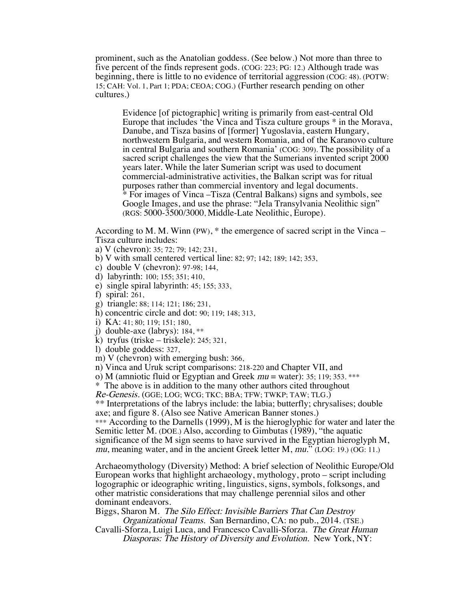prominent, such as the Anatolian goddess. (See below.) Not more than three to five percent of the finds represent gods. (COG: 223; PG: 12.) Although trade was beginning, there is little to no evidence of territorial aggression (COG: 48). (POTW: 15; CAH: Vol. 1, Part 1; PDA; CEOA; COG.) (Further research pending on other cultures.)

Evidence [of pictographic] writing is primarily from east-central Old Europe that includes 'the Vinca and Tisza culture groups \* in the Morava, Danube, and Tisza basins of [former] Yugoslavia, eastern Hungary, northwestern Bulgaria, and western Romania, and of the Karanovo culture in central Bulgaria and southern Romania' (COG: 309). The possibility of a sacred script challenges the view that the Sumerians invented script 2000 years later. While the later Sumerian script was used to document commercial-administrative activities, the Balkan script was for ritual purposes rather than commercial inventory and legal documents. \* For images of Vinca –Tisza (Central Balkans) signs and symbols, see Google Images, and use the phrase: "Jela Transylvania Neolithic sign" (RGS: 5000-3500/3000, Middle-Late Neolithic, Europe).

According to M. M. Winn (PW), \* the emergence of sacred script in the Vinca – Tisza culture includes:

- a) V (chevron): 35; 72; 79; 142; 231,
- b) V with small centered vertical line: 82; 97; 142; 189; 142; 353,
- c) double V (chevron): 97-98; 144,
- d) labyrinth: 100; 155; 351; 410,
- e) single spiral labyrinth: 45; 155; 333,
- f) spiral: 261,
- g) triangle: 88; 114; 121; 186; 231,
- h) concentric circle and dot: 90; 119; 148; 313,
- i) KA: 41; 80; 119; 151; 180,
- j) double-axe (labrys): 184, \*\*
- k) tryfus (triske triskele): 245; 321,
- l) double goddess: 327,
- m) V (chevron) with emerging bush: 366,
- n) Vinca and Uruk script comparisons: 218-220 and Chapter VII, and
- o) M (amniotic fluid or Egyptian and Greek  $mu =$  water): 35; 119; 353. \*\*\*

\* The above is in addition to the many other authors cited throughout

Re-Genesis. (GGE; LOG; WCG; TKC; BBA; TFW; TWKP; TAW; TLG.)

\*\* Interpretations of the labrys include: the labia; butterfly; chrysalises; double axe; and figure 8. (Also see Native American Banner stones.)

\*\*\* According to the Darnells (1999), M is the hieroglyphic for water and later the Semitic letter M. (DOE.) Also, according to Gimbutas (1989), "the aquatic significance of the M sign seems to have survived in the Egyptian hieroglyph M, mu, meaning water, and in the ancient Greek letter M, mu." (LOG: 19.) (OG: 11.)

Archaeomythology (Diversity) Method: A brief selection of Neolithic Europe/Old European works that highlight archaeology, mythology, proto – script including logographic or ideographic writing, linguistics, signs, symbols, folksongs, and other matristic considerations that may challenge perennial silos and other dominant endeavors.

Biggs, Sharon M. The Silo Effect: Invisible Barriers That Can Destroy Organizational Teams. San Bernardino, CA: no pub., 2014. (TSE.)

Cavalli-Sforza, Luigi Luca, and Francesco Cavalli-Sforza. The Great Human Diasporas: The History of Diversity and Evolution. New York, NY: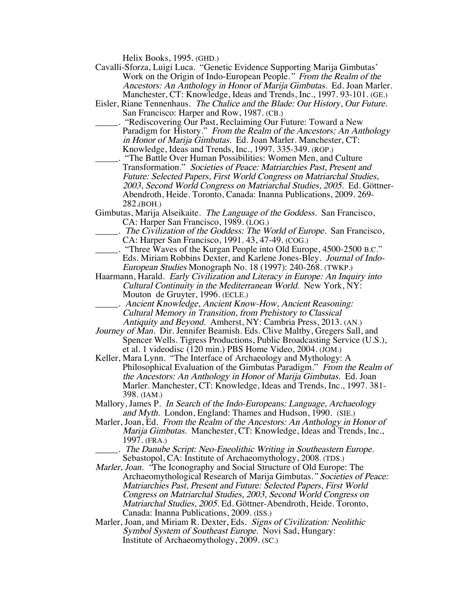Helix Books, 1995. (GHD.)

- Cavalli-Sforza, Luigi Luca. "Genetic Evidence Supporting Marija Gimbutas' Work on the Origin of Indo-European People." From the Realm of the Ancestors: An Anthology in Honor of Marija Gimbutas. Ed. Joan Marler. Manchester, CT: Knowledge, Ideas and Trends, Inc., 1997. 93-101. (GE.)
- Eisler, Riane Tennenhaus. The Chalice and the Blade: Our History, Our Future. San Francisco: Harper and Row, 1987. (CB.)
- \_\_\_\_\_. "Rediscovering Our Past, Reclaiming Our Future: Toward a New Paradigm for History." From the Realm of the Ancestors: An Anthology in Honor of Marija Gimbutas. Ed. Joan Marler. Manchester, CT: Knowledge, Ideas and Trends, Inc., 1997. 335-349. (ROP.)
	- \_\_\_\_\_. "The Battle Over Human Possibilities: Women Men, and Culture Transformation." Societies of Peace: Matriarchies Past, Present and Future: Selected Papers, First World Congress on Matriarchal Studies, 2003, Second World Congress on Matriarchal Studies, 2005. Ed. Göttner-Abendroth, Heide. Toronto, Canada: Inanna Publications, 2009. 269- 282.(BOH.)
- Gimbutas, Marija Alseikaite. The Language of the Goddess. San Francisco, CA: Harper San Francisco, 1989. (LOG.)
	- \_\_\_\_\_. The Civilization of the Goddess: The World of Europe. San Francisco, CA: Harper San Francisco, 1991. 43, 47-49. (COG.)
- \_\_\_\_\_. "Three Waves of the Kurgan People into Old Europe, 4500-2500 B.C." Eds. Miriam Robbins Dexter, and Karlene Jones-Bley. Journal of Indo-European Studies Monograph No. 18 (1997): 240-268. (TWKP.)
- Haarmann, Harald. Early Civilization and Literacy in Europe: An Inquiry into Cultural Continuity in the Mediterranean World. New York, NY: Mouton de Gruyter, 1996. (ECLE.)
	- \_\_\_\_\_. Ancient Knowledge, Ancient Know-How, Ancient Reasoning: Cultural Memory in Transition, from Prehistory to Classical Antiquity and Beyond. Amherst, NY: Cambria Press, 2013. (AN.)
- Journey of Man. Dir. Jennifer Beamish. Eds. Clive Maltby, Gregers Sall, and Spencer Wells. Tigress Productions, Public Broadcasting Service (U.S.), et al. 1 videodisc (120 min.) PBS Home Video, 2004. (JOM.)
- Keller, Mara Lynn. "The Interface of Archaeology and Mythology: A Philosophical Evaluation of the Gimbutas Paradigm." From the Realm of the Ancestors: An Anthology in Honor of Marija Gimbutas. Ed. Joan Marler. Manchester, CT: Knowledge, Ideas and Trends, Inc., 1997. 381- 398. (IAM.)
- Mallory, James P. In Search of the Indo-Europeans: Language, Archaeology and Myth. London, England: Thames and Hudson, 1990. (SIE.)
- Marler, Joan, Ed. From the Realm of the Ancestors: An Anthology in Honor of Marija Gimbutas. Manchester, CT: Knowledge, Ideas and Trends, Inc., 1997. (FRA.)
- \_\_\_\_\_. The Danube Script: Neo-Eneolithic Writing in Southeastern Europe. Sebastopol, CA: Institute of Archaeomythology, 2008. (TDS.)
- Marler, Joan. "The Iconography and Social Structure of Old Europe: The Archaeomythological Research of Marija Gimbutas." Societies of Peace: Matriarchies Past, Present and Future: Selected Papers, First World Congress on Matriarchal Studies, 2003, Second World Congress on Matriarchal Studies, 2005. Ed. Göttner-Abendroth, Heide. Toronto, Canada: Inanna Publications, 2009. (ISS.)
- Marler, Joan, and Miriam R. Dexter, Eds. Signs of Civilization: Neolithic Symbol System of Southeast Europe. Novi Sad, Hungary: Institute of Archaeomythology, 2009. (SC.)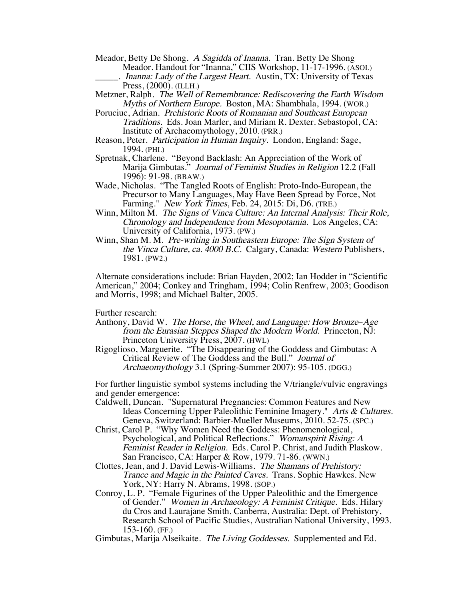- Meador, Betty De Shong. A Sagidda of Inanna. Tran. Betty De Shong Meador. Handout for "Inanna," CIIS Workshop, 11-17-1996. (ASOI.)
	- $\overline{\ }$ . Inanna: Lady of the Largest Heart. Austin, TX: University of Texas Press, (2000). (ILLH.)
- Metzner, Ralph. The Well of Remembrance: Rediscovering the Earth Wisdom Myths of Northern Europe. Boston, MA: Shambhala, 1994. (WOR.)
- Poruciuc, Adrian. Prehistoric Roots of Romanian and Southeast European Traditions. Eds. Joan Marler, and Miriam R. Dexter. Sebastopol, CA: Institute of Archaeomythology, 2010. (PRR.)
- Reason, Peter. Participation in Human Inquiry. London, England: Sage, 1994. (PHI.)
- Spretnak, Charlene. "Beyond Backlash: An Appreciation of the Work of Marija Gimbutas." Journal of Feminist Studies in Religion 12.2 (Fall 1996): 91-98. (BBAW.)
- Wade, Nicholas. "The Tangled Roots of English: Proto-Indo-European, the Precursor to Many Languages, May Have Been Spread by Force, Not Farming." New York Times, Feb. 24, 2015: Di, D6. (TRE.)
- Winn, Milton M. The Signs of Vinca Culture: An Internal Analysis: Their Role, Chronology and Independence from Mesopotamia. Los Angeles, CA: University of California, 1973. (PW.)
- Winn, Shan M. M. Pre-writing in Southeastern Europe: The Sign System of the Vinca Culture, ca. 4000 B.C. Calgary, Canada: Western Publishers, 1981. (PW2.)

Alternate considerations include: Brian Hayden, 2002; Ian Hodder in "Scientific American," 2004; Conkey and Tringham, 1994; Colin Renfrew, 2003; Goodison and Morris, 1998; and Michael Balter, 2005.

Further research:

- Anthony, David W. The Horse, the Wheel, and Language: How Bronze–Age from the Eurasian Steppes Shaped the Modern World. Princeton, NJ: Princeton University Press, 2007. (HWL)
- Rigoglioso, Marguerite. "The Disappearing of the Goddess and Gimbutas: A Critical Review of The Goddess and the Bull." Journal of Archaeomythology 3.1 (Spring-Summer 2007): 95-105. (DGG.)

For further linguistic symbol systems including the V/triangle/vulvic engravings and gender emergence:

- Caldwell, Duncan. "Supernatural Pregnancies: Common Features and New Ideas Concerning Upper Paleolithic Feminine Imagery." Arts & Cultures. Geneva, Switzerland: Barbier-Mueller Museums, 2010. 52-75. (SPC.)
- Christ, Carol P. "Why Women Need the Goddess: Phenomenological, Psychological, and Political Reflections." Womanspirit Rising: A Feminist Reader in Religion. Eds. Carol P. Christ, and Judith Plaskow. San Francisco, CA: Harper & Row, 1979. 71-86. (WWN.)
- Clottes, Jean, and J. David Lewis-Williams. The Shamans of Prehistory: Trance and Magic in the Painted Caves. Trans. Sophie Hawkes. New York, NY: Harry N. Abrams, 1998. (SOP.)
- Conroy, L. P. "Female Figurines of the Upper Paleolithic and the Emergence of Gender." Women in Archaeology: A Feminist Critique. Eds. Hilary du Cros and Laurajane Smith. Canberra, Australia: Dept. of Prehistory, Research School of Pacific Studies, Australian National University, 1993. 153-160. (FF.)

Gimbutas, Marija Alseikaite. The Living Goddesses. Supplemented and Ed.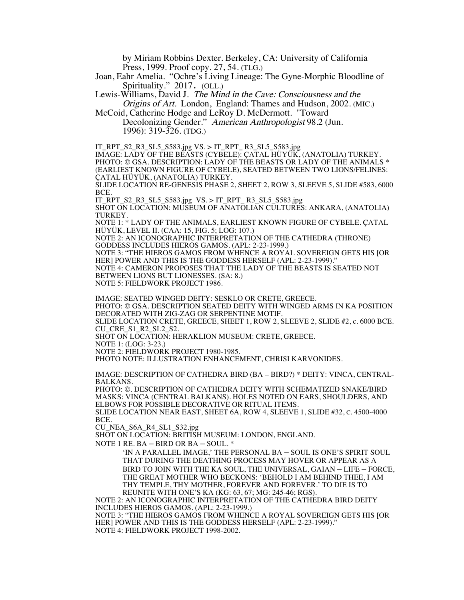by Miriam Robbins Dexter. Berkeley, CA: University of California Press, 1999. Proof copy. 27, 54. (TLG.)

Joan, Eahr Amelia. "Ochre's Living Lineage: The Gyne-Morphic Bloodline of Spirituality." 2017. (OLL.)

Lewis-Williams, David J. The Mind in the Cave: Consciousness and the Origins of Art. London, England: Thames and Hudson, 2002. (MIC.)

McCoid, Catherine Hodge and LeRoy D. McDermott. "Toward Decolonizing Gender." American Anthropologist 98.2 (Jun.

1996): 319-326. (TDG.)

IT\_RPT\_S2\_R3\_SL5\_S583.jpg VS. > IT\_RPT\_ R3\_SL5\_S583.jpg IMAGE: LADY OF THE BEASTS (CYBELE): ÇATAL HÜYÜK, (ANATOLIA) TURKEY. PHOTO: © GSA. DESCRIPTION: LADY OF THE BEASTS OR LADY OF THE ANIMALS \* (EARLIEST KNOWN FIGURE OF CYBELE), SEATED BETWEEN TWO LIONS/FELINES: ÇATAL HÜYÜK, (ANATOLIA) TURKEY.

SLIDE LOCATION RE-GENESIS PHASE 2, SHEET 2, ROW 3, SLEEVE 5, SLIDE #583, 6000 BCE.

IT\_RPT\_S2\_R3\_SL5\_S583.jpg VS. > IT\_RPT\_ R3\_SL5\_S583.jpg

SHOT ON LOCATION: MUSEUM OF ANATOLIAN CULTURES: ANKARA, (ANATOLIA) TURKEY.

NOTE 1: \* LADY OF THE ANIMALS, EARLIEST KNOWN FIGURE OF CYBELE. ÇATAL HÜYÜK, LEVEL II. (CAA: 15, FIG. 5; LOG: 107.)

NOTE 2: AN ICONOGRAPHIC INTERPRETATION OF THE CATHEDRA (THRONE) GODDESS INCLUDES HIEROS GAMOS. (APL: 2-23-1999.)

NOTE 3: "THE HIEROS GAMOS FROM WHENCE A ROYAL SOVEREIGN GETS HIS [OR HER] POWER AND THIS IS THE GODDESS HERSELF (APL: 2-23-1999).' NOTE 4: CAMERON PROPOSES THAT THE LADY OF THE BEASTS IS SEATED NOT

BETWEEN LIONS BUT LIONESSES. (SA: 8.)

NOTE 5: FIELDWORK PROJECT 1986.

IMAGE: SEATED WINGED DEITY: SESKLO OR CRETE, GREECE. PHOTO: © GSA. DESCRIPTION SEATED DEITY WITH WINGED ARMS IN KA POSITION DECORATED WITH ZIG-ZAG OR SERPENTINE MOTIF. SLIDE LOCATION CRETE, GREECE, SHEET 1, ROW 2, SLEEVE 2, SLIDE #2, c. 6000 BCE. CU\_CRE\_S1\_R2\_SL2\_S2. SHOT ON LOCATION: HERAKLION MUSEUM: CRETE, GREECE. NOTE 1: (LOG: 3-23.) NOTE 2: FIELDWORK PROJECT 1980-1985.

PHOTO NOTE: ILLUSTRATION ENHANCEMENT, CHRISI KARVONIDES.

IMAGE: DESCRIPTION OF CATHEDRA BIRD (BA – BIRD?) \* DEITY: VINCA, CENTRAL- BALKANS.

PHOTO: ©. DESCRIPTION OF CATHEDRA DEITY WITH SCHEMATIZED SNAKE/BIRD MASKS: VINCA (CENTRAL BALKANS). HOLES NOTED ON EARS, SHOULDERS, AND ELBOWS FOR POSSIBLE DECORATIVE OR RITUAL ITEMS.

SLIDE LOCATION NEAR EAST, SHEET 6A, ROW 4, SLEEVE 1, SLIDE #32, C. 4500-4000 BCE.

CU\_NEA\_S6A\_R4\_SL1\_S32.jpg

SHOT ON LOCATION: BRITISH MUSEUM: LONDON, ENGLAND.

NOTE 1 RE. BA – BIRD OR BA – SOUL. \*

'IN A PARALLEL IMAGE,' THE PERSONAL BA – SOUL IS ONE'S SPIRIT SOUL THAT DURING THE DEATHING PROCESS MAY HOVER OR APPEAR AS A BIRD TO JOIN WITH THE KA SOUL, THE UNIVERSAL, GAIAN – LIFE – FORCE, THE GREAT MOTHER WHO BECKONS: 'BEHOLD I AM BEHIND THEE, I AM THY TEMPLE, THY MOTHER, FOREVER AND FOREVER.' TO DIE IS TO REUNITE WITH ONE'S KA (KG: 63, 67; MG: 245-46; RGS).

NOTE 2: AN ICONOGRAPHIC INTERPRETATION OF THE CATHEDRA BIRD DEITY INCLUDES HIEROS GAMOS. (APL: 2-23-1999.)

NOTE 3: "THE HIEROS GAMOS FROM WHENCE A ROYAL SOVEREIGN GETS HIS [OR HER] POWER AND THIS IS THE GODDESS HERSELF (APL: 2-23-1999)." NOTE 4: FIELDWORK PROJECT 1998-2002.